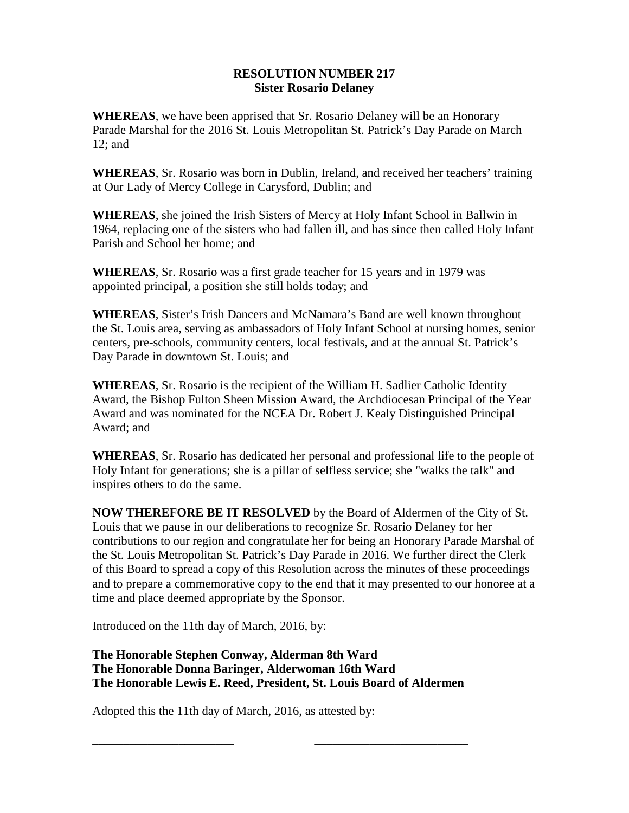## **RESOLUTION NUMBER 217 Sister Rosario Delaney**

**WHEREAS**, we have been apprised that Sr. Rosario Delaney will be an Honorary Parade Marshal for the 2016 St. Louis Metropolitan St. Patrick's Day Parade on March 12; and

**WHEREAS**, Sr. Rosario was born in Dublin, Ireland, and received her teachers' training at Our Lady of Mercy College in Carysford, Dublin; and

**WHEREAS**, she joined the Irish Sisters of Mercy at Holy Infant School in Ballwin in 1964, replacing one of the sisters who had fallen ill, and has since then called Holy Infant Parish and School her home; and

**WHEREAS**, Sr. Rosario was a first grade teacher for 15 years and in 1979 was appointed principal, a position she still holds today; and

**WHEREAS**, Sister's Irish Dancers and McNamara's Band are well known throughout the St. Louis area, serving as ambassadors of Holy Infant School at nursing homes, senior centers, pre-schools, community centers, local festivals, and at the annual St. Patrick's Day Parade in downtown St. Louis; and

**WHEREAS**, Sr. Rosario is the recipient of the William H. Sadlier Catholic Identity Award, the Bishop Fulton Sheen Mission Award, the Archdiocesan Principal of the Year Award and was nominated for the NCEA Dr. Robert J. Kealy Distinguished Principal Award; and

**WHEREAS**, Sr. Rosario has dedicated her personal and professional life to the people of Holy Infant for generations; she is a pillar of selfless service; she "walks the talk" and inspires others to do the same.

**NOW THEREFORE BE IT RESOLVED** by the Board of Aldermen of the City of St. Louis that we pause in our deliberations to recognize Sr. Rosario Delaney for her contributions to our region and congratulate her for being an Honorary Parade Marshal of the St. Louis Metropolitan St. Patrick's Day Parade in 2016. We further direct the Clerk of this Board to spread a copy of this Resolution across the minutes of these proceedings and to prepare a commemorative copy to the end that it may presented to our honoree at a time and place deemed appropriate by the Sponsor.

Introduced on the 11th day of March, 2016, by:

## **The Honorable Stephen Conway, Alderman 8th Ward The Honorable Donna Baringer, Alderwoman 16th Ward The Honorable Lewis E. Reed, President, St. Louis Board of Aldermen**

\_\_\_\_\_\_\_\_\_\_\_\_\_\_\_\_\_\_\_\_\_\_\_ \_\_\_\_\_\_\_\_\_\_\_\_\_\_\_\_\_\_\_\_\_\_\_\_\_

Adopted this the 11th day of March, 2016, as attested by: